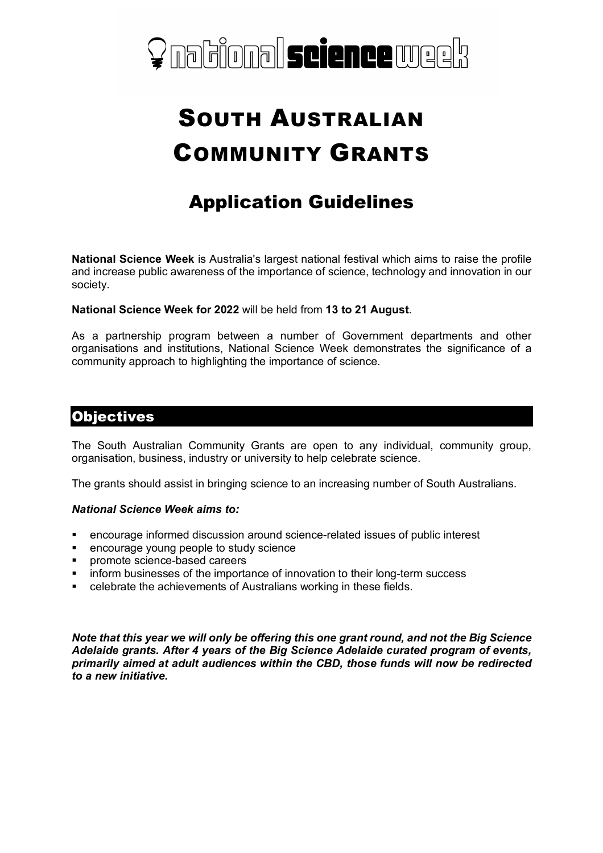

# SOUTH AUSTRALIAN COMMUNITY GRANTS

## Application Guidelines

**National Science Week** is Australia's largest national festival which aims to raise the profile and increase public awareness of the importance of science, technology and innovation in our society.

**National Science Week for 2022** will be held from **13 to 21 August**.

As a partnership program between a number of Government departments and other organisations and institutions, National Science Week demonstrates the significance of a community approach to highlighting the importance of science.

#### **Objectives**

The South Australian Community Grants are open to any individual, community group, organisation, business, industry or university to help celebrate science.

The grants should assist in bringing science to an increasing number of South Australians.

#### *National Science Week aims to:*

- § encourage informed discussion around science-related issues of public interest
- encourage young people to study science
- promote science-based careers
- inform businesses of the importance of innovation to their long-term success
- celebrate the achievements of Australians working in these fields.

*Note that this year we will only be offering this one grant round, and not the Big Science Adelaide grants. After 4 years of the Big Science Adelaide curated program of events, primarily aimed at adult audiences within the CBD, those funds will now be redirected to a new initiative.*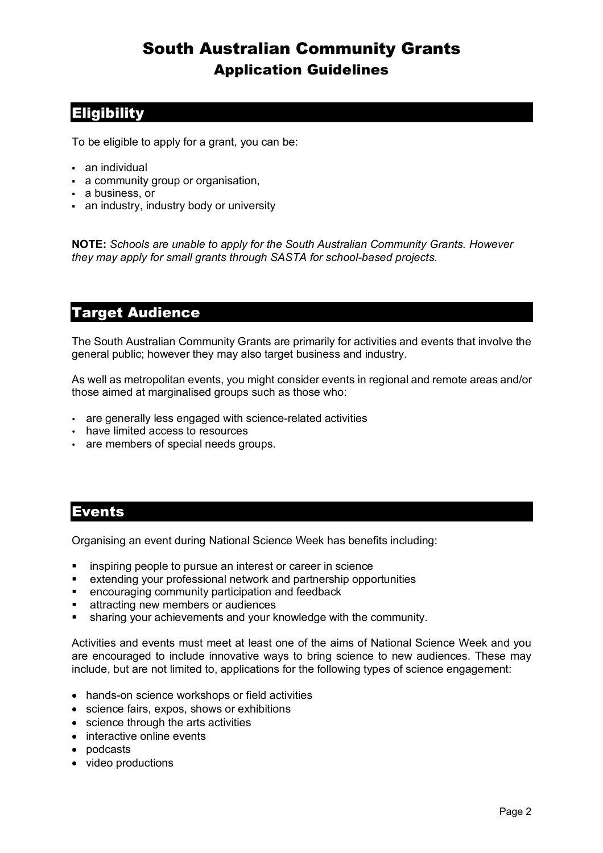### **Eligibility**

To be eligible to apply for a grant, you can be:

- an individual
- a community group or organisation,
- § a business, or
- an industry, industry body or university

**NOTE:** *Schools are unable to apply for the South Australian Community Grants. However they may apply for small grants through SASTA for school-based projects.*

### Target Audience

The South Australian Community Grants are primarily for activities and events that involve the general public; however they may also target business and industry.

As well as metropolitan events, you might consider events in regional and remote areas and/or those aimed at marginalised groups such as those who:

- are generally less engaged with science-related activities
- have limited access to resources
- are members of special needs groups.

### Events

Organising an event during National Science Week has benefits including:

- inspiring people to pursue an interest or career in science
- extending your professional network and partnership opportunities
- **•** encouraging community participation and feedback
- attracting new members or audiences
- sharing your achievements and your knowledge with the community.

Activities and events must meet at least one of the aims of National Science Week and you are encouraged to include innovative ways to bring science to new audiences. These may include, but are not limited to, applications for the following types of science engagement:

- hands-on science workshops or field activities
- science fairs, expos, shows or exhibitions
- science through the arts activities
- interactive online events
- podcasts
- video productions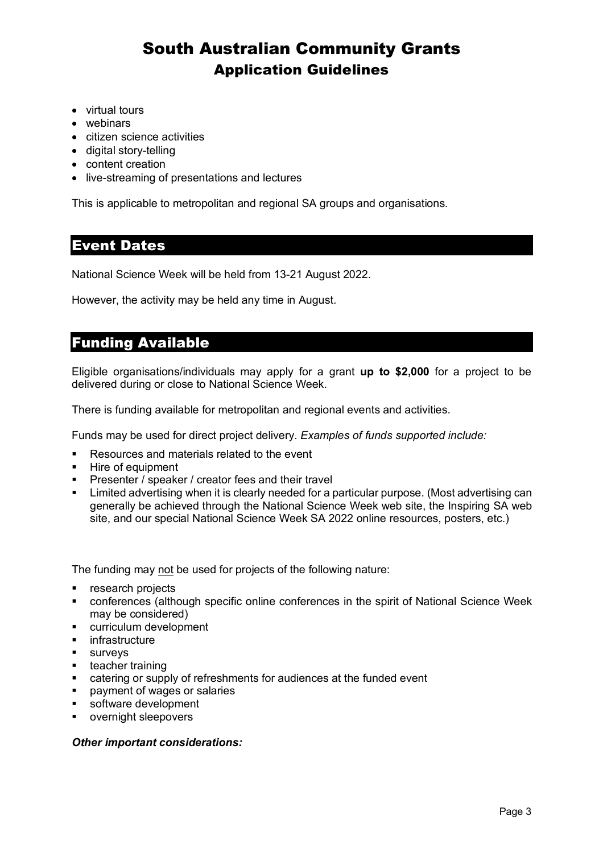- virtual tours
- webinars
- citizen science activities
- digital story-telling
- content creation
- live-streaming of presentations and lectures

This is applicable to metropolitan and regional SA groups and organisations.

### Event Dates

National Science Week will be held from 13-21 August 2022.

However, the activity may be held any time in August.

#### Funding Available

Eligible organisations/individuals may apply for a grant **up to \$2,000** for a project to be delivered during or close to National Science Week.

There is funding available for metropolitan and regional events and activities.

Funds may be used for direct project delivery. *Examples of funds supported include:*

- Resources and materials related to the event
- § Hire of equipment
- Presenter / speaker / creator fees and their travel
- Limited advertising when it is clearly needed for a particular purpose. (Most advertising can generally be achieved through the National Science Week web site, the Inspiring SA web site, and our special National Science Week SA 2022 online resources, posters, etc.)

The funding may not be used for projects of the following nature:

- research projects
- conferences (although specific online conferences in the spirit of National Science Week may be considered)
- curriculum development
- infrastructure
- surveys
- § teacher training
- catering or supply of refreshments for audiences at the funded event
- § payment of wages or salaries
- software development
- § overnight sleepovers

#### *Other important considerations:*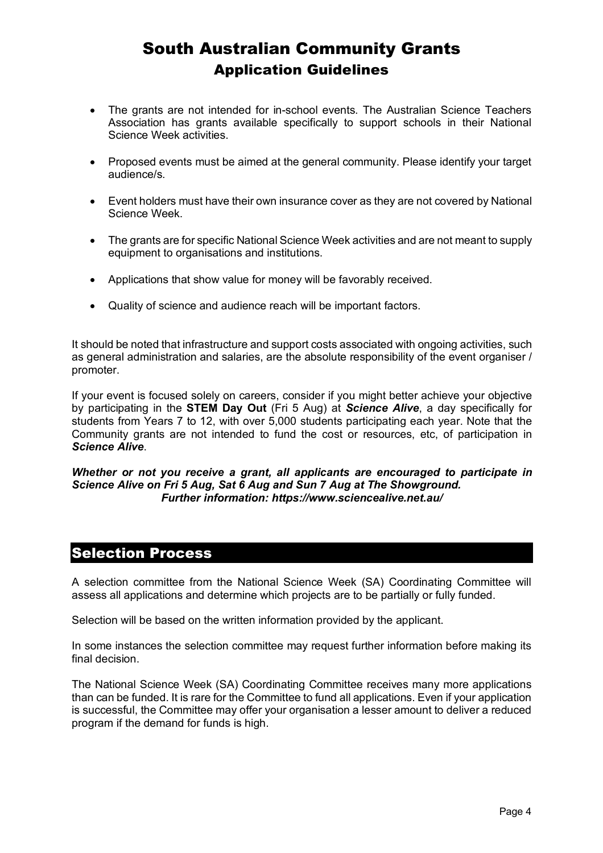- The grants are not intended for in-school events. The Australian Science Teachers Association has grants available specifically to support schools in their National Science Week activities.
- Proposed events must be aimed at the general community. Please identify your target audience/s.
- Event holders must have their own insurance cover as they are not covered by National Science Week.
- The grants are for specific National Science Week activities and are not meant to supply equipment to organisations and institutions.
- Applications that show value for money will be favorably received.
- Quality of science and audience reach will be important factors.

It should be noted that infrastructure and support costs associated with ongoing activities, such as general administration and salaries, are the absolute responsibility of the event organiser / promoter.

If your event is focused solely on careers, consider if you might better achieve your objective by participating in the **STEM Day Out** (Fri 5 Aug) at *Science Alive*, a day specifically for students from Years 7 to 12, with over 5,000 students participating each year. Note that the Community grants are not intended to fund the cost or resources, etc, of participation in *Science Alive*.

#### *Whether or not you receive a grant, all applicants are encouraged to participate in Science Alive on Fri 5 Aug, Sat 6 Aug and Sun 7 Aug at The Showground. Further information: https://www.sciencealive.net.au/*

## Selection Process

A selection committee from the National Science Week (SA) Coordinating Committee will assess all applications and determine which projects are to be partially or fully funded.

Selection will be based on the written information provided by the applicant.

In some instances the selection committee may request further information before making its final decision.

The National Science Week (SA) Coordinating Committee receives many more applications than can be funded. It is rare for the Committee to fund all applications. Even if your application is successful, the Committee may offer your organisation a lesser amount to deliver a reduced program if the demand for funds is high.